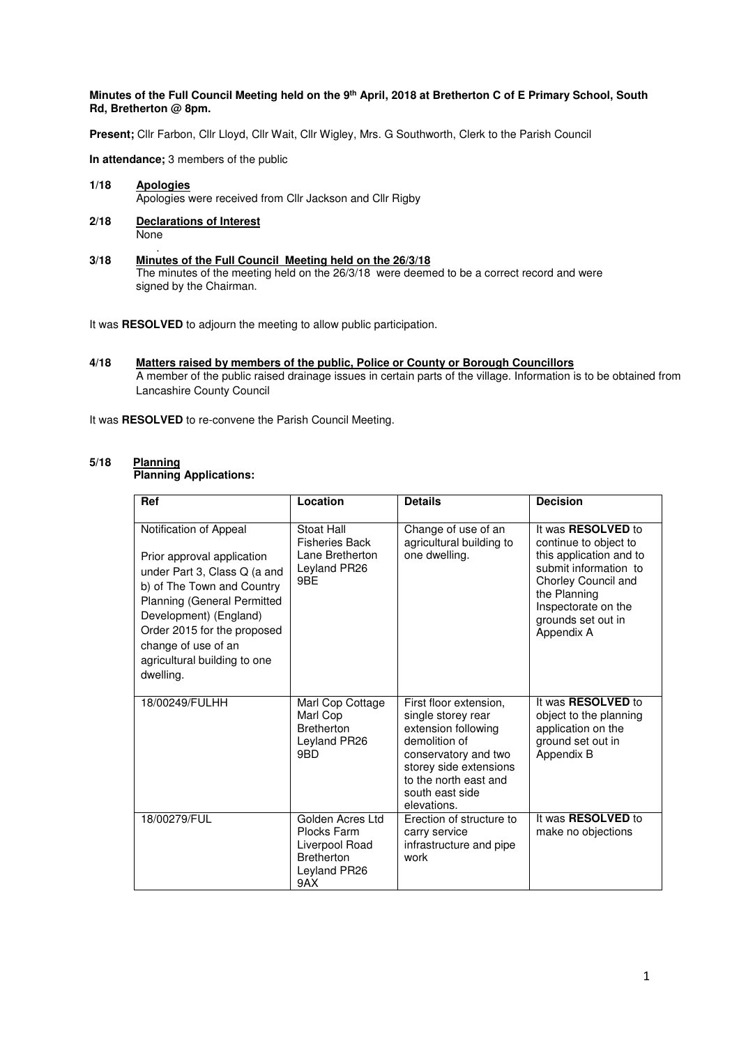#### **Minutes of the Full Council Meeting held on the 9th April, 2018 at Bretherton C of E Primary School, South Rd, Bretherton @ 8pm.**

**Present;** Cllr Farbon, Cllr Lloyd, Cllr Wait, Cllr Wigley, Mrs. G Southworth, Clerk to the Parish Council

**In attendance;** 3 members of the public

**1/18 Apologies** Apologies were received from Cllr Jackson and Cllr Rigby

- **2/18 Declarations of Interest None**
- . **3/18 Minutes of the Full Council Meeting held on the 26/3/18**  The minutes of the meeting held on the 26/3/18 were deemed to be a correct record and were signed by the Chairman.

It was **RESOLVED** to adjourn the meeting to allow public participation.

**4/18 Matters raised by members of the public, Police or County or Borough Councillors**  A member of the public raised drainage issues in certain parts of the village. Information is to be obtained from Lancashire County Council

It was **RESOLVED** to re-convene the Parish Council Meeting.

#### $5/18$ **Planning**

## **Planning Applications:**

| Ref                                                                                                                                                                                                                                                                                   | Location                                                                                      | <b>Details</b>                                                                                                                                                                                    | <b>Decision</b>                                                                                                                                                                                   |
|---------------------------------------------------------------------------------------------------------------------------------------------------------------------------------------------------------------------------------------------------------------------------------------|-----------------------------------------------------------------------------------------------|---------------------------------------------------------------------------------------------------------------------------------------------------------------------------------------------------|---------------------------------------------------------------------------------------------------------------------------------------------------------------------------------------------------|
| Notification of Appeal<br>Prior approval application<br>under Part 3, Class Q (a and<br>b) of The Town and Country<br><b>Planning (General Permitted</b><br>Development) (England)<br>Order 2015 for the proposed<br>change of use of an<br>agricultural building to one<br>dwelling. | Stoat Hall<br><b>Fisheries Back</b><br>Lane Bretherton<br>Leyland PR26<br>9BE                 | Change of use of an<br>agricultural building to<br>one dwelling.                                                                                                                                  | It was RESOLVED to<br>continue to object to<br>this application and to<br>submit information to<br>Chorley Council and<br>the Planning<br>Inspectorate on the<br>grounds set out in<br>Appendix A |
| 18/00249/FULHH                                                                                                                                                                                                                                                                        | Marl Cop Cottage<br>Marl Cop<br><b>Bretherton</b><br>Leyland PR26<br>9BD                      | First floor extension,<br>single storey rear<br>extension following<br>demolition of<br>conservatory and two<br>storey side extensions<br>to the north east and<br>south east side<br>elevations. | It was RESOLVED to<br>object to the planning<br>application on the<br>ground set out in<br>Appendix B                                                                                             |
| 18/00279/FUL                                                                                                                                                                                                                                                                          | Golden Acres Ltd<br>Plocks Farm<br>Liverpool Road<br><b>Bretherton</b><br>Leyland PR26<br>9AX | Erection of structure to<br>carry service<br>infrastructure and pipe<br>work                                                                                                                      | It was RESOLVED to<br>make no objections                                                                                                                                                          |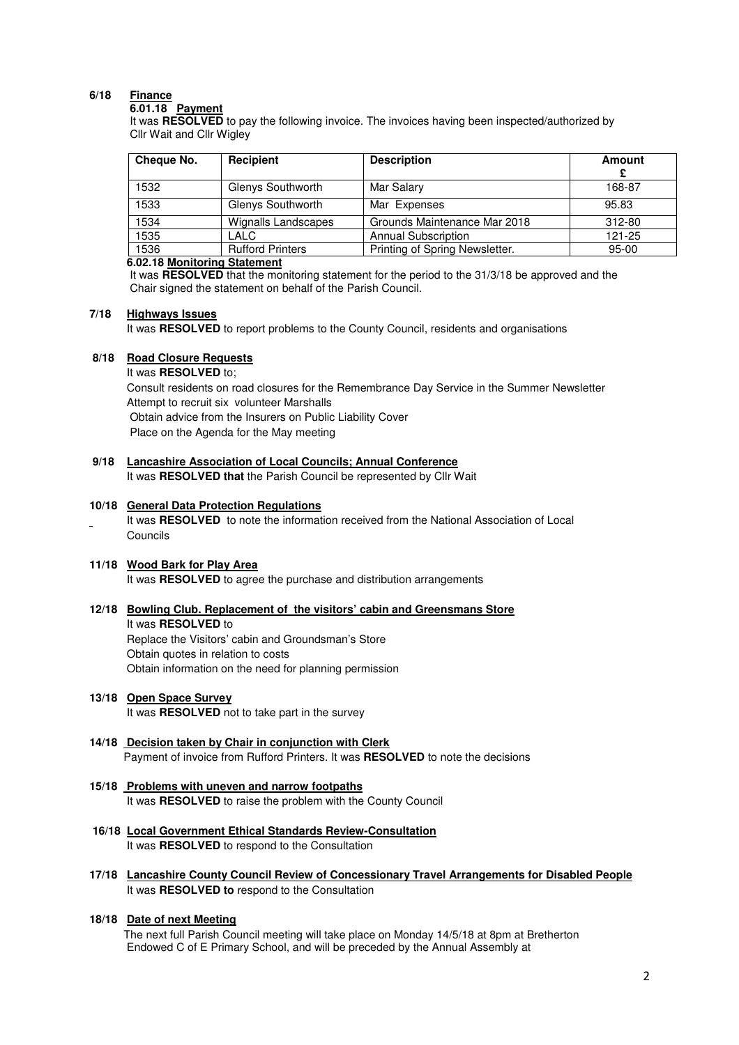# **6/18 Finance**

#### **6.01.18 Payment**

It was **RESOLVED** to pay the following invoice. The invoices having been inspected/authorized by Cllr Wait and Cllr Wigley

| Cheque No. | Recipient               | <b>Description</b>             | <b>Amount</b> |
|------------|-------------------------|--------------------------------|---------------|
| 1532       | Glenys Southworth       | Mar Salary                     | 168-87        |
| 1533       | Glenys Southworth       | Mar Expenses                   | 95.83         |
| 1534       | Wignalls Landscapes     | Grounds Maintenance Mar 2018   | 312-80        |
| 1535       | LALC                    | <b>Annual Subscription</b>     | 121-25        |
| 1536       | <b>Rufford Printers</b> | Printing of Spring Newsletter. | $95 - 00$     |

#### **6.02.18 Monitoring Statement**

It was **RESOLVED** that the monitoring statement for the period to the 31/3/18 be approved and the Chair signed the statement on behalf of the Parish Council.

#### **7/18 Highways Issues**

It was **RESOLVED** to report problems to the County Council, residents and organisations

### **8/18 Road Closure Requests**

 It was **RESOLVED** to; Consult residents on road closures for the Remembrance Day Service in the Summer Newsletter Attempt to recruit six volunteer Marshalls Obtain advice from the Insurers on Public Liability Cover Place on the Agenda for the May meeting

**9/18 Lancashire Association of Local Councils; Annual Conference** It was **RESOLVED that** the Parish Council be represented by Cllr Wait

#### **10/18 General Data Protection Regulations**

It was **RESOLVED** to note the information received from the National Association of Local Councils

#### **11/18 Wood Bark for Play Area**

It was **RESOLVED** to agree the purchase and distribution arrangements

#### **12/18 Bowling Club. Replacement of the visitors' cabin and Greensmans Store**

 It was **RESOLVED** to Replace the Visitors' cabin and Groundsman's Store Obtain quotes in relation to costs Obtain information on the need for planning permission

# **13/18 Open Space Survey**

It was **RESOLVED** not to take part in the survey

- **14/18 Decision taken by Chair in conjunction with Clerk** Payment of invoice from Rufford Printers. It was **RESOLVED** to note the decisions
- **15/18 Problems with uneven and narrow footpaths**  It was **RESOLVED** to raise the problem with the County Council
- **16/18 Local Government Ethical Standards Review-Consultation**  It was **RESOLVED** to respond to the Consultation
- **17/18 Lancashire County Council Review of Concessionary Travel Arrangements for Disabled People** It was **RESOLVED to** respond to the Consultation
- **18/18 Date of next Meeting**

 The next full Parish Council meeting will take place on Monday 14/5/18 at 8pm at Bretherton Endowed C of E Primary School, and will be preceded by the Annual Assembly at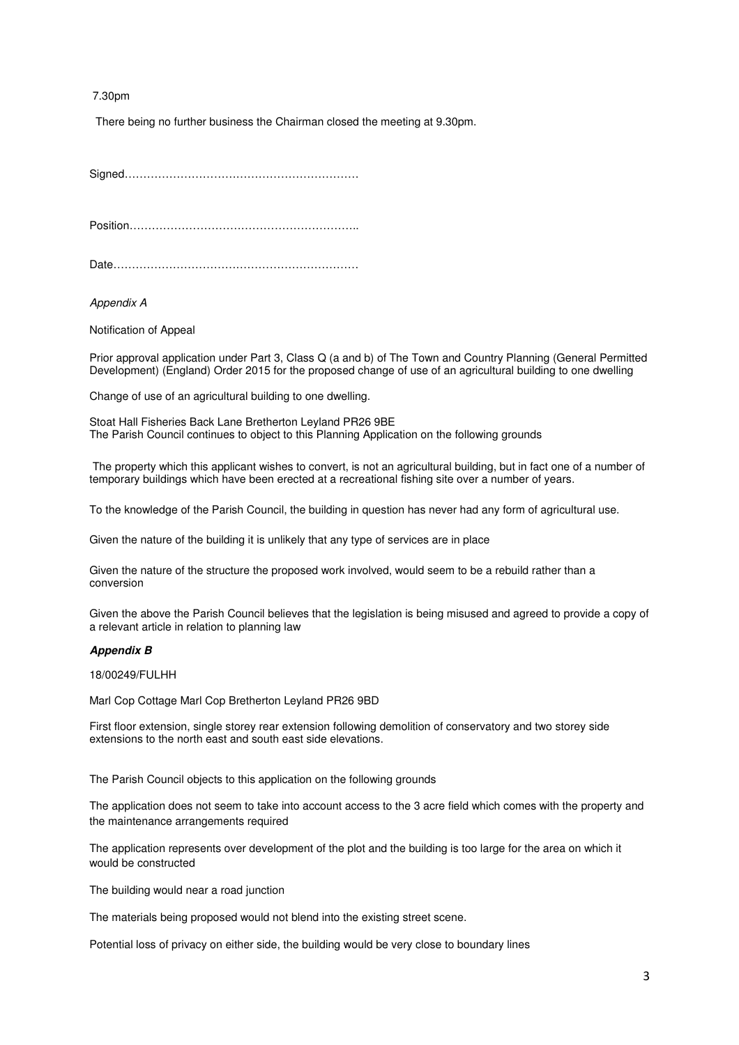7.30pm

There being no further business the Chairman closed the meeting at 9.30pm.

Signed………………………………………………………

Position……………………………………………………..

Date…………………………………………………………

Appendix A

Notification of Appeal

Prior approval application under Part 3, Class Q (a and b) of The Town and Country Planning (General Permitted Development) (England) Order 2015 for the proposed change of use of an agricultural building to one dwelling

Change of use of an agricultural building to one dwelling.

Stoat Hall Fisheries Back Lane Bretherton Leyland PR26 9BE The Parish Council continues to object to this Planning Application on the following grounds

 The property which this applicant wishes to convert, is not an agricultural building, but in fact one of a number of temporary buildings which have been erected at a recreational fishing site over a number of years.

To the knowledge of the Parish Council, the building in question has never had any form of agricultural use.

Given the nature of the building it is unlikely that any type of services are in place

Given the nature of the structure the proposed work involved, would seem to be a rebuild rather than a conversion

Given the above the Parish Council believes that the legislation is being misused and agreed to provide a copy of a relevant article in relation to planning law

#### **Appendix B**

18/00249/FULHH

Marl Cop Cottage Marl Cop Bretherton Leyland PR26 9BD

First floor extension, single storey rear extension following demolition of conservatory and two storey side extensions to the north east and south east side elevations.

The Parish Council objects to this application on the following grounds

The application does not seem to take into account access to the 3 acre field which comes with the property and the maintenance arrangements required

The application represents over development of the plot and the building is too large for the area on which it would be constructed

The building would near a road junction

The materials being proposed would not blend into the existing street scene.

Potential loss of privacy on either side, the building would be very close to boundary lines